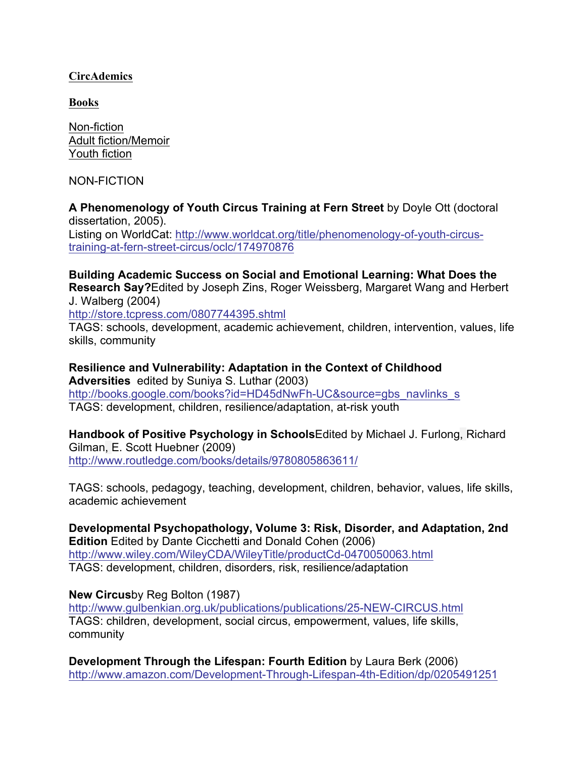## **CircAdemics**

**Books**

Non-fiction Adult fiction/Memoir Youth fiction

NON-FICTION

**A Phenomenology of Youth Circus Training at Fern Street** by Doyle Ott (doctoral dissertation, 2005). Listing on WorldCat: http://www.worldcat.org/title/phenomenology-of-youth-circustraining-at-fern-street-circus/oclc/174970876

**Building Academic Success on Social and Emotional Learning: What Does the Research Say?**Edited by Joseph Zins, Roger Weissberg, Margaret Wang and Herbert J. Walberg (2004) http://store.tcpress.com/0807744395.shtml

TAGS: schools, development, academic achievement, children, intervention, values, life skills, community

**Resilience and Vulnerability: Adaptation in the Context of Childhood Adversities** edited by Suniya S. Luthar (2003) http://books.google.com/books?id=HD45dNwFh-UC&source=gbs\_navlinks\_s TAGS: development, children, resilience/adaptation, at-risk youth

**Handbook of Positive Psychology in Schools**Edited by Michael J. Furlong, Richard Gilman, E. Scott Huebner (2009) http://www.routledge.com/books/details/9780805863611/

TAGS: schools, pedagogy, teaching, development, children, behavior, values, life skills, academic achievement

**Developmental Psychopathology, Volume 3: Risk, Disorder, and Adaptation, 2nd Edition** Edited by Dante Cicchetti and Donald Cohen (2006) http://www.wiley.com/WileyCDA/WileyTitle/productCd-0470050063.html TAGS: development, children, disorders, risk, resilience/adaptation

**New Circus**by Reg Bolton (1987)

http://www.gulbenkian.org.uk/publications/publications/25-NEW-CIRCUS.html TAGS: children, development, social circus, empowerment, values, life skills, community

**Development Through the Lifespan: Fourth Edition** by Laura Berk (2006) http://www.amazon.com/Development-Through-Lifespan-4th-Edition/dp/0205491251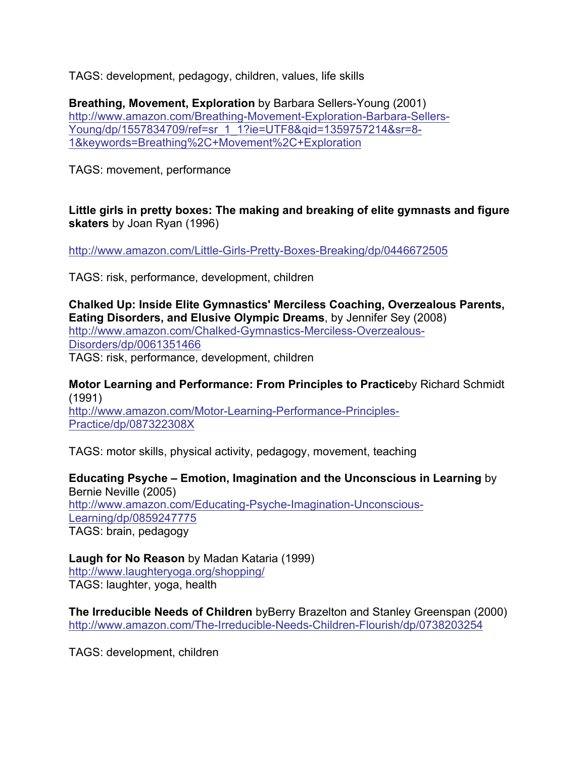TAGS: development, pedagogy, children, values, life skills

**Breathing, Movement, Exploration** by Barbara Sellers-Young (2001) http://www.amazon.com/Breathing-Movement-Exploration-Barbara-Sellers-Young/dp/1557834709/ref=sr\_1\_1?ie=UTF8&qid=1359757214&sr=8- 1&keywords=Breathing%2C+Movement%2C+Exploration

TAGS: movement, performance

**Little girls in pretty boxes: The making and breaking of elite gymnasts and figure skaters** by Joan Ryan (1996)

http://www.amazon.com/Little-Girls-Pretty-Boxes-Breaking/dp/0446672505

TAGS: risk, performance, development, children

**Chalked Up: Inside Elite Gymnastics' Merciless Coaching, Overzealous Parents, Eating Disorders, and Elusive Olympic Dreams**, by Jennifer Sey (2008) http://www.amazon.com/Chalked-Gymnastics-Merciless-Overzealous-Disorders/dp/0061351466 TAGS: risk, performance, development, children

**Motor Learning and Performance: From Principles to Practice**by Richard Schmidt (1991) http://www.amazon.com/Motor-Learning-Performance-Principles-Practice/dp/087322308X

TAGS: motor skills, physical activity, pedagogy, movement, teaching

**Educating Psyche – Emotion, Imagination and the Unconscious in Learning** by Bernie Neville (2005) http://www.amazon.com/Educating-Psyche-Imagination-Unconscious-Learning/dp/0859247775 TAGS: brain, pedagogy

**Laugh for No Reason** by Madan Kataria (1999) http://www.laughteryoga.org/shopping/ TAGS: laughter, yoga, health

**The Irreducible Needs of Children** byBerry Brazelton and Stanley Greenspan (2000) http://www.amazon.com/The-Irreducible-Needs-Children-Flourish/dp/0738203254

TAGS: development, children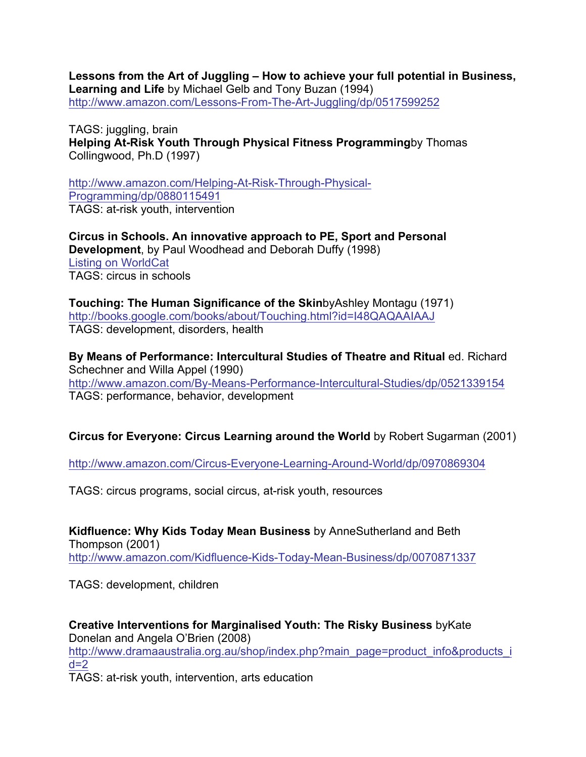**Lessons from the Art of Juggling – How to achieve your full potential in Business, Learning and Life** by Michael Gelb and Tony Buzan (1994) http://www.amazon.com/Lessons-From-The-Art-Juggling/dp/0517599252

TAGS: juggling, brain **Helping At-Risk Youth Through Physical Fitness Programming**by Thomas Collingwood, Ph.D (1997)

http://www.amazon.com/Helping-At-Risk-Through-Physical-Programming/dp/0880115491 TAGS: at-risk youth, intervention

**Circus in Schools. An innovative approach to PE, Sport and Personal Development**, by Paul Woodhead and Deborah Duffy (1998) Listing on WorldCat TAGS: circus in schools

**Touching: The Human Significance of the Skin**byAshley Montagu (1971) http://books.google.com/books/about/Touching.html?id=I48QAQAAIAAJ TAGS: development, disorders, health

**By Means of Performance: Intercultural Studies of Theatre and Ritual** ed. Richard Schechner and Willa Appel (1990) http://www.amazon.com/By-Means-Performance-Intercultural-Studies/dp/0521339154 TAGS: performance, behavior, development

## **Circus for Everyone: Circus Learning around the World** by Robert Sugarman (2001)

http://www.amazon.com/Circus-Everyone-Learning-Around-World/dp/0970869304

TAGS: circus programs, social circus, at-risk youth, resources

**Kidfluence: Why Kids Today Mean Business** by AnneSutherland and Beth Thompson (2001) http://www.amazon.com/Kidfluence-Kids-Today-Mean-Business/dp/0070871337

TAGS: development, children

**Creative Interventions for Marginalised Youth: The Risky Business** byKate Donelan and Angela O'Brien (2008) http://www.dramaaustralia.org.au/shop/index.php?main\_page=product\_info&products\_i  $d=2$ 

TAGS: at-risk youth, intervention, arts education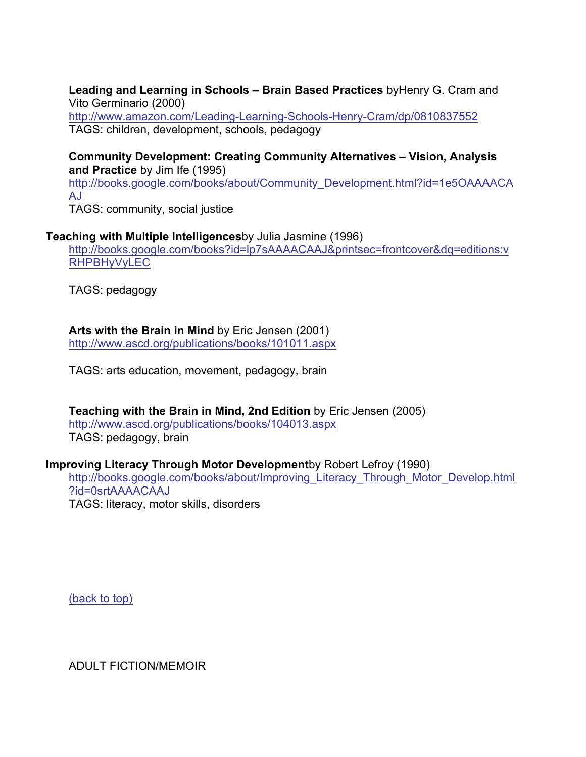**Leading and Learning in Schools – Brain Based Practices** byHenry G. Cram and Vito Germinario (2000) http://www.amazon.com/Leading-Learning-Schools-Henry-Cram/dp/0810837552 TAGS: children, development, schools, pedagogy

**Community Development: Creating Community Alternatives – Vision, Analysis and Practice** by Jim Ife (1995) http://books.google.com/books/about/Community\_Development.html?id=1e5OAAAACA AJ TAGS: community, social justice

#### **Teaching with Multiple Intelligences**by Julia Jasmine (1996)

http://books.google.com/books?id=lp7sAAAACAAJ&printsec=frontcover&dq=editions:v RHPBHyVyLEC

TAGS: pedagogy

#### **Arts with the Brain in Mind** by Eric Jensen (2001) http://www.ascd.org/publications/books/101011.aspx

TAGS: arts education, movement, pedagogy, brain

# **Teaching with the Brain in Mind, 2nd Edition** by Eric Jensen (2005)

http://www.ascd.org/publications/books/104013.aspx TAGS: pedagogy, brain

#### **Improving Literacy Through Motor Development**by Robert Lefroy (1990)

http://books.google.com/books/about/Improving\_Literacy\_Through\_Motor\_Develop.html ?id=0srtAAAACAAJ TAGS: literacy, motor skills, disorders

(back to top)

ADULT FICTION/MEMOIR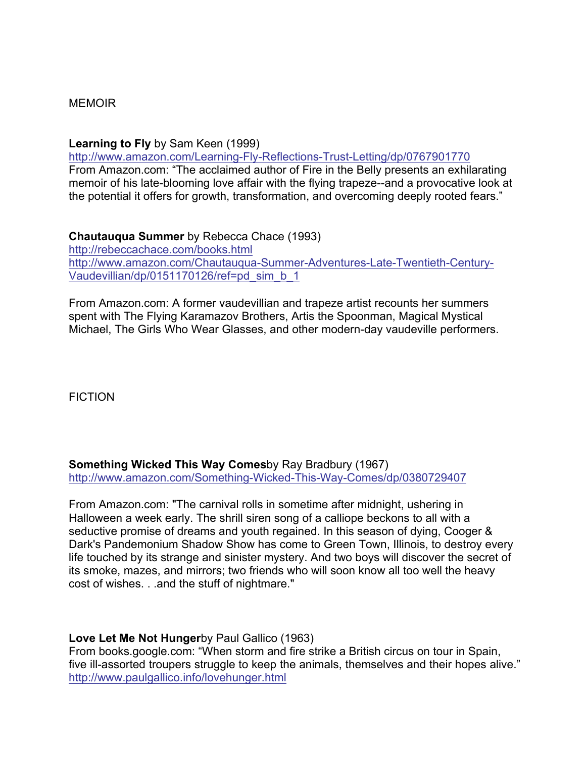## **MEMOIR**

#### **Learning to Fly** by Sam Keen (1999)

http://www.amazon.com/Learning-Fly-Reflections-Trust-Letting/dp/0767901770 From Amazon.com: "The acclaimed author of Fire in the Belly presents an exhilarating memoir of his late-blooming love affair with the flying trapeze--and a provocative look at the potential it offers for growth, transformation, and overcoming deeply rooted fears."

**Chautauqua Summer** by Rebecca Chace (1993) http://rebeccachace.com/books.html http://www.amazon.com/Chautauqua-Summer-Adventures-Late-Twentieth-Century-Vaudevillian/dp/0151170126/ref=pd\_sim\_b\_1

From Amazon.com: A former vaudevillian and trapeze artist recounts her summers spent with The Flying Karamazov Brothers, Artis the Spoonman, Magical Mystical Michael, The Girls Who Wear Glasses, and other modern-day vaudeville performers.

**FICTION** 

**Something Wicked This Way Comes**by Ray Bradbury (1967) http://www.amazon.com/Something-Wicked-This-Way-Comes/dp/0380729407

From Amazon.com: "The carnival rolls in sometime after midnight, ushering in Halloween a week early. The shrill siren song of a calliope beckons to all with a seductive promise of dreams and youth regained. In this season of dying, Cooger & Dark's Pandemonium Shadow Show has come to Green Town, Illinois, to destroy every life touched by its strange and sinister mystery. And two boys will discover the secret of its smoke, mazes, and mirrors; two friends who will soon know all too well the heavy cost of wishes. . .and the stuff of nightmare."

## **Love Let Me Not Hunger**by Paul Gallico (1963)

From books.google.com: "When storm and fire strike a British circus on tour in Spain, five ill-assorted troupers struggle to keep the animals, themselves and their hopes alive." http://www.paulgallico.info/lovehunger.html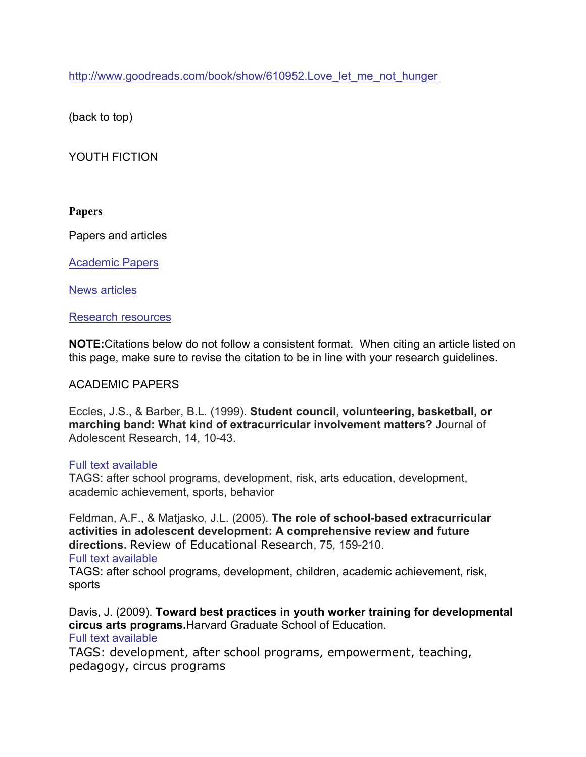http://www.goodreads.com/book/show/610952.Love\_let\_me\_not\_hunger\_

(back to top)

YOUTH FICTION

**Papers**

Papers and articles

Academic Papers

News articles

Research resources

**NOTE:**Citations below do not follow a consistent format. When citing an article listed on this page, make sure to revise the citation to be in line with your research guidelines.

## ACADEMIC PAPERS

Eccles, J.S., & Barber, B.L. (1999). **Student council, volunteering, basketball, or marching band: What kind of extracurricular involvement matters?** Journal of Adolescent Research, 14, 10-43.

#### Full text available

TAGS: after school programs, development, risk, arts education, development, academic achievement, sports, behavior

Feldman, A.F., & Matjasko, J.L. (2005). **The role of school-based extracurricular activities in adolescent development: A comprehensive review and future directions.** Review of Educational Research, 75, 159-210. Full text available

TAGS: after school programs, development, children, academic achievement, risk, sports

Davis, J. (2009). **Toward best practices in youth worker training for developmental circus arts programs.**Harvard Graduate School of Education. Full text available

TAGS: development, after school programs, empowerment, teaching, pedagogy, circus programs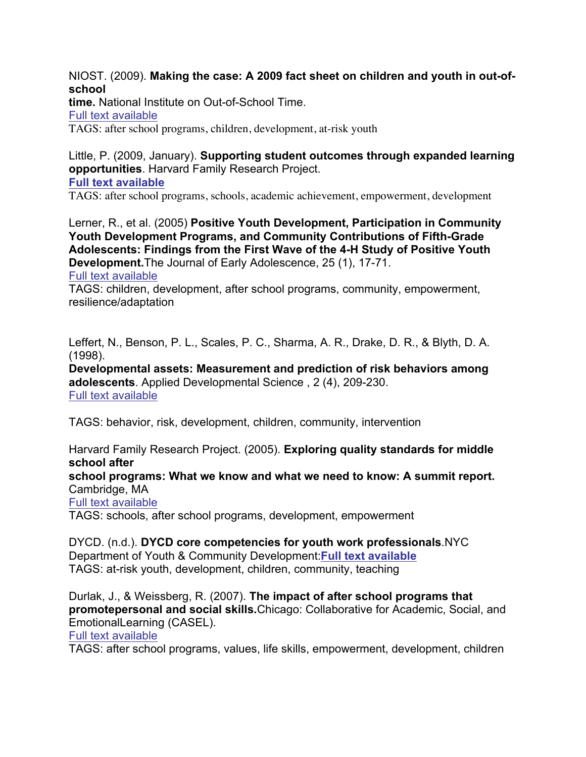NIOST. (2009). **Making the case: A 2009 fact sheet on children and youth in out-ofschool**

**time.** National Institute on Out-of-School Time.

Full text available

TAGS: after school programs, children, development, at-risk youth

Little, P. (2009, January). **Supporting student outcomes through expanded learning opportunities**. Harvard Family Research Project. **Full text available**

TAGS: after school programs, schools, academic achievement, empowerment, development

Lerner, R., et al. (2005) **Positive Youth Development, Participation in Community Youth Development Programs, and Community Contributions of Fifth-Grade Adolescents: Findings from the First Wave of the 4-H Study of Positive Youth Development.**The Journal of Early Adolescence, 25 (1), 17-71.

Full text available

TAGS: children, development, after school programs, community, empowerment, resilience/adaptation

Leffert, N., Benson, P. L., Scales, P. C., Sharma, A. R., Drake, D. R., & Blyth, D. A. (1998).

**Developmental assets: Measurement and prediction of risk behaviors among adolescents**. Applied Developmental Science , 2 (4), 209-230. Full text available

TAGS: behavior, risk, development, children, community, intervention

Harvard Family Research Project. (2005). **Exploring quality standards for middle school after**

**school programs: What we know and what we need to know: A summit report.** Cambridge, MA

Full text available

TAGS: schools, after school programs, development, empowerment

DYCD. (n.d.). **DYCD core competencies for youth work professionals**.NYC Department of Youth & Community Development:**Full text available** TAGS: at-risk youth, development, children, community, teaching

Durlak, J., & Weissberg, R. (2007). **The impact of after school programs that promotepersonal and social skills.**Chicago: Collaborative for Academic, Social, and EmotionalLearning (CASEL).

Full text available

TAGS: after school programs, values, life skills, empowerment, development, children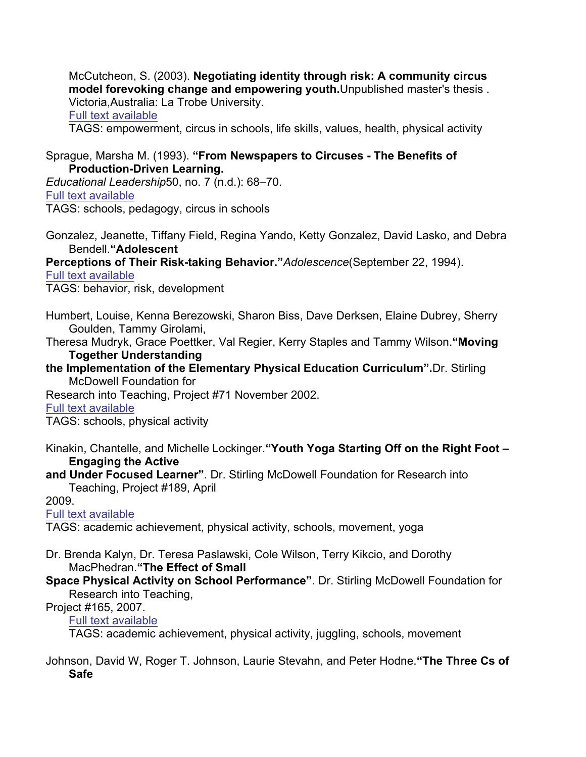McCutcheon, S. (2003). **Negotiating identity through risk: A community circus model forevoking change and empowering youth.**Unpublished master's thesis . Victoria,Australia: La Trobe University.

Full text available

TAGS: empowerment, circus in schools, life skills, values, health, physical activity

## Sprague, Marsha M. (1993). **"From Newspapers to Circuses - The Benefits of Production-Driven Learning.**

*Educational Leadership*50, no. 7 (n.d.): 68–70. Full text available TAGS: schools, pedagogy, circus in schools

Gonzalez, Jeanette, Tiffany Field, Regina Yando, Ketty Gonzalez, David Lasko, and Debra Bendell.**"Adolescent**

**Perceptions of Their Risk-taking Behavior."***Adolescence*(September 22, 1994). Full text available

TAGS: behavior, risk, development

Humbert, Louise, Kenna Berezowski, Sharon Biss, Dave Derksen, Elaine Dubrey, Sherry Goulden, Tammy Girolami,

Theresa Mudryk, Grace Poettker, Val Regier, Kerry Staples and Tammy Wilson.**"Moving Together Understanding**

**the Implementation of the Elementary Physical Education Curriculum".**Dr. Stirling McDowell Foundation for

Research into Teaching, Project #71 November 2002.

Full text available

TAGS: schools, physical activity

Kinakin, Chantelle, and Michelle Lockinger.**"Youth Yoga Starting Off on the Right Foot – Engaging the Active**

**and Under Focused Learner"**. Dr. Stirling McDowell Foundation for Research into Teaching, Project #189, April

2009.

Full text available

TAGS: academic achievement, physical activity, schools, movement, yoga

Dr. Brenda Kalyn, Dr. Teresa Paslawski, Cole Wilson, Terry Kikcio, and Dorothy MacPhedran.**"The Effect of Small**

**Space Physical Activity on School Performance"**. Dr. Stirling McDowell Foundation for Research into Teaching,

Project #165, 2007.

Full text available

TAGS: academic achievement, physical activity, juggling, schools, movement

Johnson, David W, Roger T. Johnson, Laurie Stevahn, and Peter Hodne.**"The Three Cs of Safe**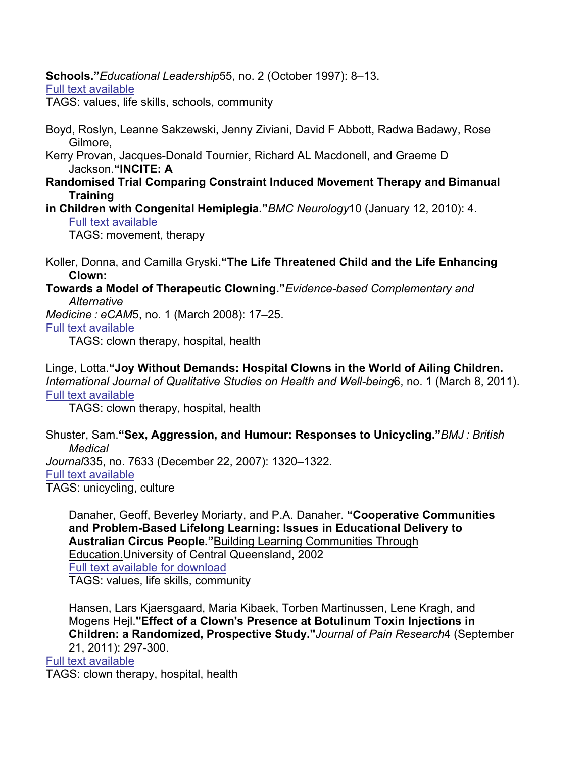**Schools."***Educational Leadership*55, no. 2 (October 1997): 8–13.

Full text available

TAGS: values, life skills, schools, community

Boyd, Roslyn, Leanne Sakzewski, Jenny Ziviani, David F Abbott, Radwa Badawy, Rose Gilmore,

Kerry Provan, Jacques-Donald Tournier, Richard AL Macdonell, and Graeme D Jackson.**"INCITE: A**

**Randomised Trial Comparing Constraint Induced Movement Therapy and Bimanual Training**

**in Children with Congenital Hemiplegia."***BMC Neurology*10 (January 12, 2010): 4. Full text available

TAGS: movement, therapy

Koller, Donna, and Camilla Gryski.**"The Life Threatened Child and the Life Enhancing Clown:**

**Towards a Model of Therapeutic Clowning."***Evidence-based Complementary and Alternative*

*Medicine : eCAM*5, no. 1 (March 2008): 17–25.

## Full text available

TAGS: clown therapy, hospital, health

Linge, Lotta.**"Joy Without Demands: Hospital Clowns in the World of Ailing Children.** *International Journal of Qualitative Studies on Health and Well-being*6, no. 1 (March 8, 2011). Full text available

TAGS: clown therapy, hospital, health

Shuster, Sam.**"Sex, Aggression, and Humour: Responses to Unicycling."***BMJ : British Medical Journal*335, no. 7633 (December 22, 2007): 1320–1322. Full text available TAGS: unicycling, culture

Danaher, Geoff, Beverley Moriarty, and P.A. Danaher. **"Cooperative Communities and Problem-Based Lifelong Learning: Issues in Educational Delivery to Australian Circus People."**Building Learning Communities Through Education.University of Central Queensland, 2002 Full text available for download TAGS: values, life skills, community

Hansen, Lars Kjaersgaard, Maria Kibaek, Torben Martinussen, Lene Kragh, and Mogens Hejl.**"Effect of a Clown's Presence at Botulinum Toxin Injections in Children: a Randomized, Prospective Study."***Journal of Pain Research*4 (September 21, 2011): 297-300.

Full text available TAGS: clown therapy, hospital, health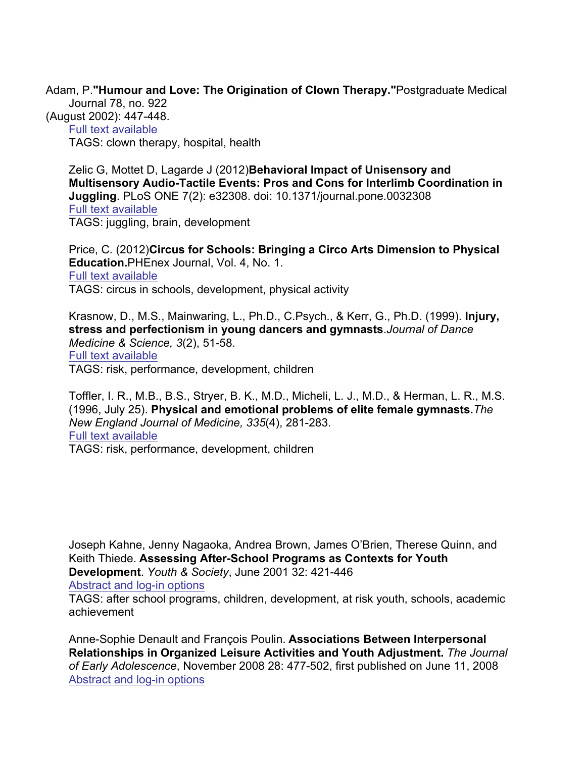Adam, P.**"Humour and Love: The Origination of Clown Therapy."**Postgraduate Medical Journal 78, no. 922

(August 2002): 447-448.

Full text available TAGS: clown therapy, hospital, health

Zelic G, Mottet D, Lagarde J (2012)**Behavioral Impact of Unisensory and Multisensory Audio-Tactile Events: Pros and Cons for Interlimb Coordination in Juggling**. PLoS ONE 7(2): e32308. doi: 10.1371/journal.pone.0032308 Full text available TAGS: juggling, brain, development

Price, C. (2012)**Circus for Schools: Bringing a Circo Arts Dimension to Physical Education.**PHEnex Journal, Vol. 4, No. 1. Full text available TAGS: circus in schools, development, physical activity

Krasnow, D., M.S., Mainwaring, L., Ph.D., C.Psych., & Kerr, G., Ph.D. (1999). **Injury, stress and perfectionism in young dancers and gymnasts**.*Journal of Dance Medicine & Science, 3*(2), 51-58. Full text available TAGS: risk, performance, development, children

Toffler, I. R., M.B., B.S., Stryer, B. K., M.D., Micheli, L. J., M.D., & Herman, L. R., M.S. (1996, July 25). **Physical and emotional problems of elite female gymnasts.***The New England Journal of Medicine, 335*(4), 281-283. Full text available

TAGS: risk, performance, development, children

Joseph Kahne, Jenny Nagaoka, Andrea Brown, James O'Brien, Therese Quinn, and Keith Thiede. **Assessing After-School Programs as Contexts for Youth Development**. *Youth & Society*, June 2001 32: 421-446

Abstract and log-in options

TAGS: after school programs, children, development, at risk youth, schools, academic achievement

Anne-Sophie Denault and François Poulin. **Associations Between Interpersonal Relationships in Organized Leisure Activities and Youth Adjustment.** *The Journal of Early Adolescence*, November 2008 28: 477-502, first published on June 11, 2008 Abstract and log-in options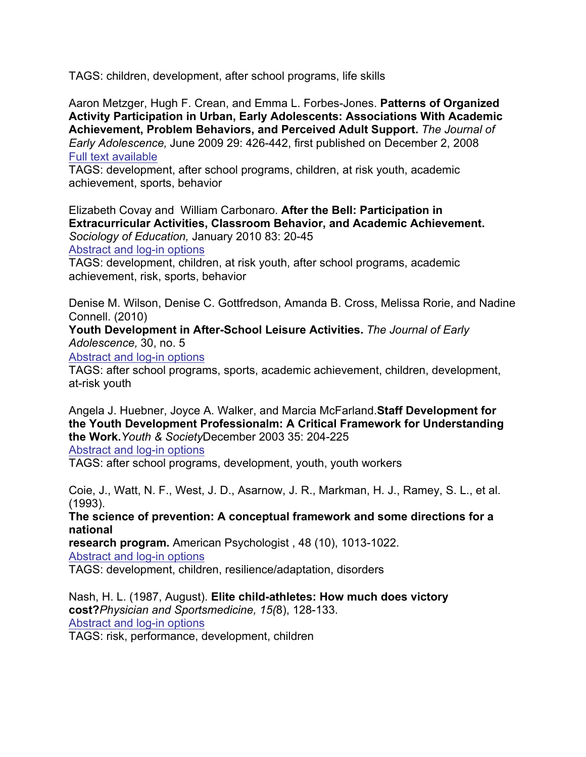TAGS: children, development, after school programs, life skills

Aaron Metzger, Hugh F. Crean, and Emma L. Forbes-Jones. **Patterns of Organized Activity Participation in Urban, Early Adolescents: Associations With Academic Achievement, Problem Behaviors, and Perceived Adult Support.** *The Journal of Early Adolescence,* June 2009 29: 426-442, first published on December 2, 2008 Full text available

TAGS: development, after school programs, children, at risk youth, academic achievement, sports, behavior

Elizabeth Covay and William Carbonaro. **After the Bell: Participation in Extracurricular Activities, Classroom Behavior, and Academic Achievement.**  *Sociology of Education,* January 2010 83: 20-45

Abstract and log-in options

TAGS: development, children, at risk youth, after school programs, academic achievement, risk, sports, behavior

Denise M. Wilson, Denise C. Gottfredson, Amanda B. Cross, Melissa Rorie, and Nadine Connell. (2010)

**Youth Development in After-School Leisure Activities.** *The Journal of Early Adolescence,* 30, no. 5

Abstract and log-in options

TAGS: after school programs, sports, academic achievement, children, development, at-risk youth

Angela J. Huebner, Joyce A. Walker, and Marcia McFarland.**Staff Development for the Youth Development Professionalm: A Critical Framework for Understanding the Work.***Youth & Society*December 2003 35: 204-225 Abstract and log-in options

TAGS: after school programs, development, youth, youth workers

Coie, J., Watt, N. F., West, J. D., Asarnow, J. R., Markman, H. J., Ramey, S. L., et al. (1993).

**The science of prevention: A conceptual framework and some directions for a national**

**research program.** American Psychologist , 48 (10), 1013-1022.

Abstract and log-in options

TAGS: development, children, resilience/adaptation, disorders

Nash, H. L. (1987, August). **Elite child-athletes: How much does victory cost?***Physician and Sportsmedicine, 15(*8), 128-133. Abstract and log-in options

TAGS: risk, performance, development, children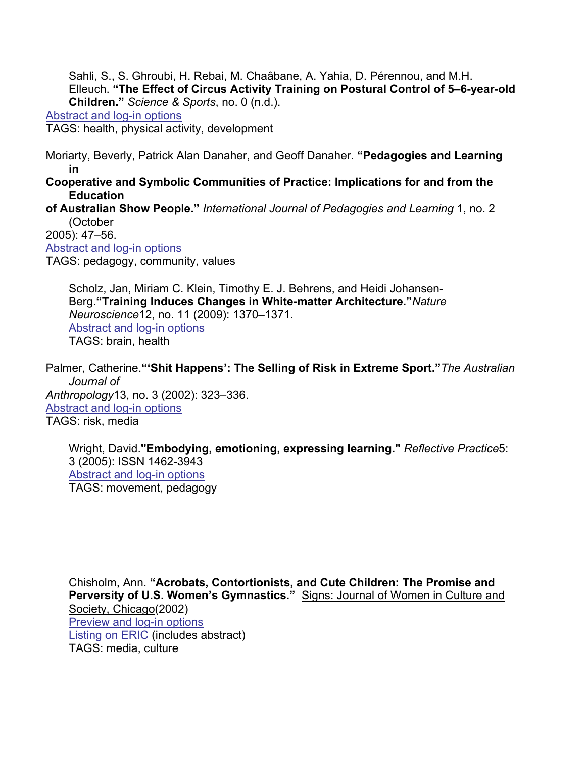Sahli, S., S. Ghroubi, H. Rebai, M. Chaâbane, A. Yahia, D. Pérennou, and M.H. Elleuch. **"The Effect of Circus Activity Training on Postural Control of 5–6-year-old Children."** *Science & Sports*, no. 0 (n.d.).

Abstract and log-in options

TAGS: health, physical activity, development

Moriarty, Beverly, Patrick Alan Danaher, and Geoff Danaher. **"Pedagogies and Learning in**

**Cooperative and Symbolic Communities of Practice: Implications for and from the Education**

**of Australian Show People."** *International Journal of Pedagogies and Learning* 1, no. 2 (October 2005): 47–56.

Abstract and log-in options

TAGS: pedagogy, community, values

Scholz, Jan, Miriam C. Klein, Timothy E. J. Behrens, and Heidi Johansen-Berg.**"Training Induces Changes in White-matter Architecture."***Nature Neuroscience*12, no. 11 (2009): 1370–1371. Abstract and log-in options TAGS: brain, health

Palmer, Catherine.**"'Shit Happens': The Selling of Risk in Extreme Sport."***The Australian Journal of Anthropology*13, no. 3 (2002): 323–336. Abstract and log-in options TAGS: risk, media

Wright, David.**"Embodying, emotioning, expressing learning."** *Reflective Practice*5: 3 (2005): ISSN 1462-3943 Abstract and log-in options TAGS: movement, pedagogy

Chisholm, Ann. **"Acrobats, Contortionists, and Cute Children: The Promise and Perversity of U.S. Women's Gymnastics."** Signs: Journal of Women in Culture and Society, Chicago(2002) Preview and log-in options Listing on ERIC (includes abstract) TAGS: media, culture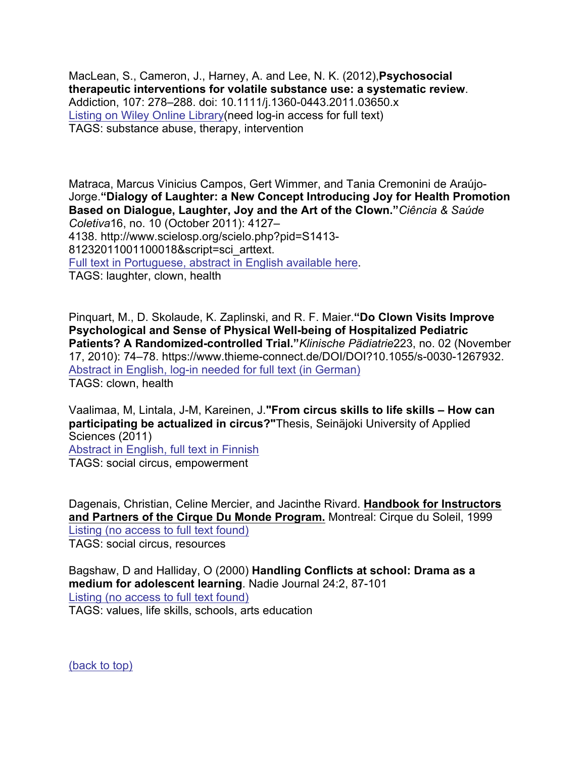MacLean, S., Cameron, J., Harney, A. and Lee, N. K. (2012),**Psychosocial therapeutic interventions for volatile substance use: a systematic review**. Addiction, 107: 278–288. doi: 10.1111/j.1360-0443.2011.03650.x Listing on Wiley Online Library(need log-in access for full text) TAGS: substance abuse, therapy, intervention

Matraca, Marcus Vinicius Campos, Gert Wimmer, and Tania Cremonini de Araújo-Jorge.**"Dialogy of Laughter: a New Concept Introducing Joy for Health Promotion Based on Dialogue, Laughter, Joy and the Art of the Clown."***Ciência & Saúde Coletiva*16, no. 10 (October 2011): 4127– 4138. http://www.scielosp.org/scielo.php?pid=S1413- 81232011001100018&script=sci\_arttext. Full text in Portuguese, abstract in English available here. TAGS: laughter, clown, health

Pinquart, M., D. Skolaude, K. Zaplinski, and R. F. Maier.**"Do Clown Visits Improve Psychological and Sense of Physical Well-being of Hospitalized Pediatric Patients? A Randomized-controlled Trial."***Klinische Pädiatrie*223, no. 02 (November 17, 2010): 74–78. https://www.thieme-connect.de/DOI/DOI?10.1055/s-0030-1267932. Abstract in English, log-in needed for full text (in German) TAGS: clown, health

Vaalimaa, M, Lintala, J-M, Kareinen, J.**"From circus skills to life skills – How can participating be actualized in circus?"**Thesis, Seinäjoki University of Applied Sciences (2011) Abstract in English, full text in Finnish TAGS: social circus, empowerment

Dagenais, Christian, Celine Mercier, and Jacinthe Rivard. **Handbook for Instructors and Partners of the Cirque Du Monde Program.** Montreal: Cirque du Soleil, 1999 Listing (no access to full text found) TAGS: social circus, resources

Bagshaw, D and Halliday, O (2000) **Handling Conflicts at school: Drama as a medium for adolescent learning**. Nadie Journal 24:2, 87-101 Listing (no access to full text found) TAGS: values, life skills, schools, arts education

(back to top)